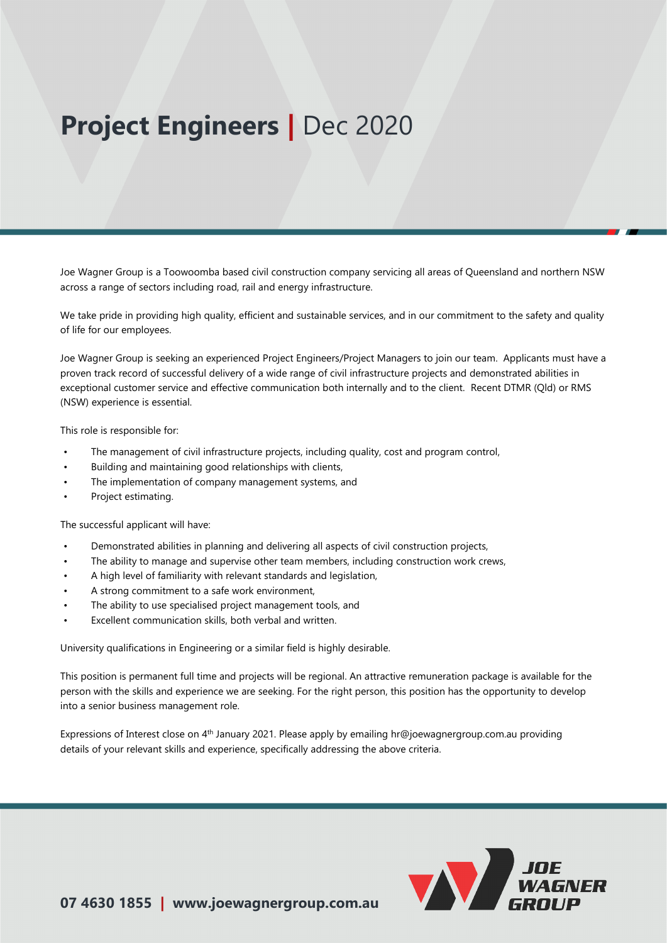# **Project Engineers |** Dec 2020

Joe Wagner Group is a Toowoomba based civil construction company servicing all areas of Queensland and northern NSW across a range of sectors including road, rail and energy infrastructure.

We take pride in providing high quality, efficient and sustainable services, and in our commitment to the safety and quality of life for our employees.

Joe Wagner Group is seeking an experienced Project Engineers/Project Managers to join our team. Applicants must have a proven track record of successful delivery of a wide range of civil infrastructure projects and demonstrated abilities in exceptional customer service and effective communication both internally and to the client. Recent DTMR (Qld) or RMS (NSW) experience is essential.

This role is responsible for:

- The management of civil infrastructure projects, including quality, cost and program control,
- Building and maintaining good relationships with clients,
- The implementation of company management systems, and
- Project estimating.

The successful applicant will have:

- Demonstrated abilities in planning and delivering all aspects of civil construction projects,
- The ability to manage and supervise other team members, including construction work crews,
- A high level of familiarity with relevant standards and legislation,
- A strong commitment to a safe work environment,
- The ability to use specialised project management tools, and
- Excellent communication skills, both verbal and written.

University qualifications in Engineering or a similar field is highly desirable.

This position is permanent full time and projects will be regional. An attractive remuneration package is available for the person with the skills and experience we are seeking. For the right person, this position has the opportunity to develop into a senior business management role.

Expressions of Interest close on 4<sup>th</sup> January 2021. Please apply [by emailing hr@joe](mailto:hr@joewagnergroup.com.au)wagnergroup.com.au providing details of your relevant skills and experience, specifically addressing the above criteria.

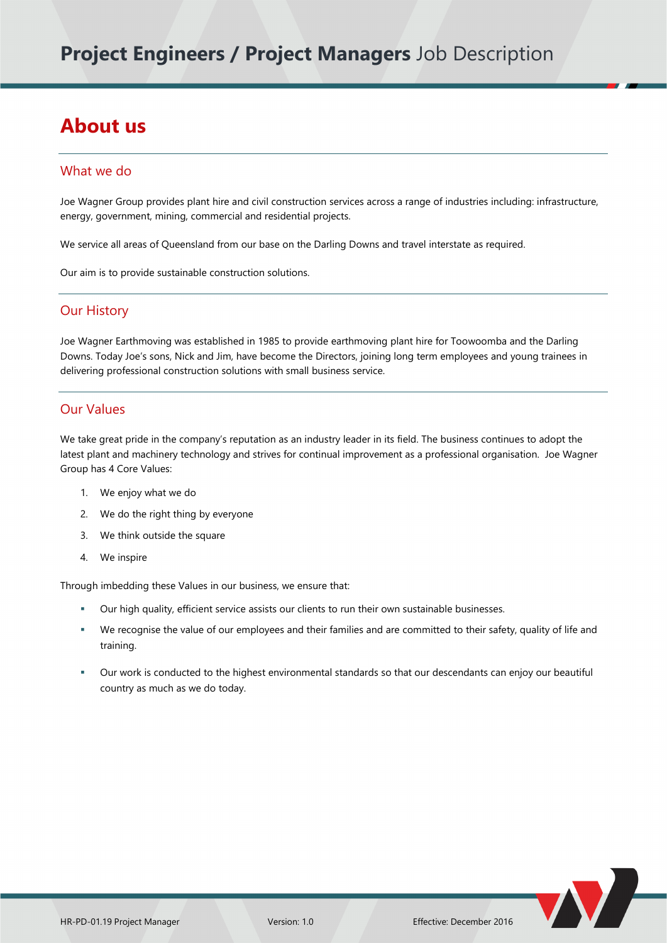## **About us**

#### What we do

Joe Wagner Group provides plant hire and civil construction services across a range of industries including: infrastructure, energy, government, mining, commercial and residential projects.

We service all areas of Queensland from our base on the Darling Downs and travel interstate as required.

Our aim is to provide sustainable construction solutions.

#### Our History

Joe Wagner Earthmoving was established in 1985 to provide earthmoving plant hire for Toowoomba and the Darling Downs. Today Joe's sons, Nick and Jim, have become the Directors, joining long term employees and young trainees in delivering professional construction solutions with small business service.

#### Our Values

We take great pride in the company's reputation as an industry leader in its field. The business continues to adopt the latest plant and machinery technology and strives for continual improvement as a professional organisation. Joe Wagner Group has 4 Core Values:

- 1. We enjoy what we do
- 2. We do the right thing by everyone
- 3. We think outside the square
- 4. We inspire

Through imbedding these Values in our business, we ensure that:

- Our high quality, efficient service assists our clients to run their own sustainable businesses.
- We recognise the value of our employees and their families and are committed to their safety, quality of life and training.
- Our work is conducted to the highest environmental standards so that our descendants can enjoy our beautiful country as much as we do today.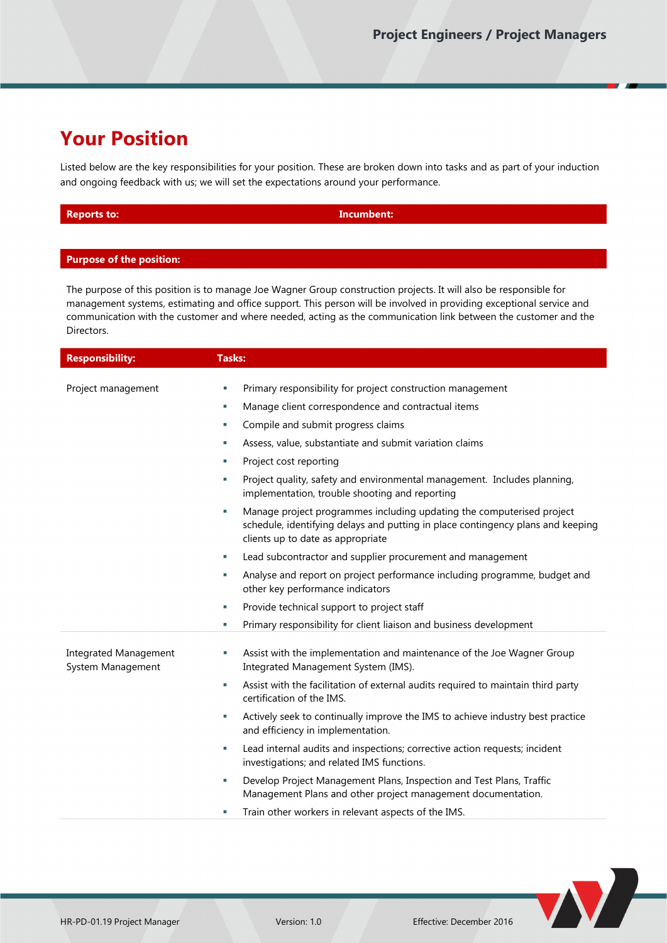### **Your Position**

Listed below are the key responsibilities for your position. These are broken down into tasks and as part of your induction and ongoing feedback with us; we will set the expectations around your performance.

| <b>Reports to:</b> | Incumbent: |
|--------------------|------------|
|                    |            |

#### **Purpose of the position:**

The purpose of this position is to manage Joe Wagner Group construction projects. It will also be responsible for management systems, estimating and office support. This person will be involved in providing exceptional service and communication with the customer and where needed, acting as the communication link between the customer and the Directors.

| <b>Responsibility:</b>                            | <b>Tasks:</b>                                                                                                                                                                                       |
|---------------------------------------------------|-----------------------------------------------------------------------------------------------------------------------------------------------------------------------------------------------------|
|                                                   |                                                                                                                                                                                                     |
| Project management                                | Primary responsibility for project construction management<br>T,                                                                                                                                    |
|                                                   | Manage client correspondence and contractual items<br>T.                                                                                                                                            |
|                                                   | Compile and submit progress claims<br>T,                                                                                                                                                            |
|                                                   | Assess, value, substantiate and submit variation claims<br>T,                                                                                                                                       |
|                                                   | Project cost reporting<br>×                                                                                                                                                                         |
|                                                   | Project quality, safety and environmental management. Includes planning,<br>T,<br>implementation, trouble shooting and reporting                                                                    |
|                                                   | Manage project programmes including updating the computerised project<br>T,<br>schedule, identifying delays and putting in place contingency plans and keeping<br>clients up to date as appropriate |
|                                                   | Lead subcontractor and supplier procurement and management<br>٠                                                                                                                                     |
|                                                   | Analyse and report on project performance including programme, budget and<br>Ē,<br>other key performance indicators                                                                                 |
|                                                   | Provide technical support to project staff<br>٠                                                                                                                                                     |
|                                                   | Primary responsibility for client liaison and business development<br>T.                                                                                                                            |
| <b>Integrated Management</b><br>System Management | Assist with the implementation and maintenance of the Joe Wagner Group<br>×<br>Integrated Management System (IMS).                                                                                  |
|                                                   | Assist with the facilitation of external audits required to maintain third party<br>r.<br>certification of the IMS.                                                                                 |
|                                                   | Actively seek to continually improve the IMS to achieve industry best practice<br>r.<br>and efficiency in implementation.                                                                           |
|                                                   | Lead internal audits and inspections; corrective action requests; incident<br>r.<br>investigations; and related IMS functions.                                                                      |
|                                                   | Develop Project Management Plans, Inspection and Test Plans, Traffic<br>T,<br>Management Plans and other project management documentation.                                                          |
|                                                   | Train other workers in relevant aspects of the IMS.<br>U,                                                                                                                                           |
|                                                   |                                                                                                                                                                                                     |

V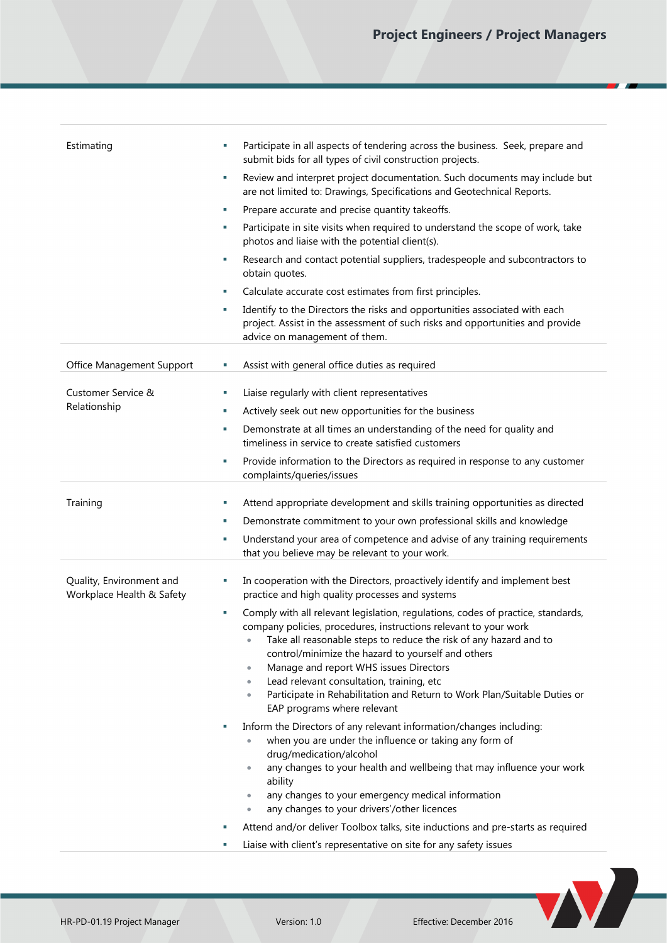| Estimating                                            | Participate in all aspects of tendering across the business. Seek, prepare and<br>×<br>submit bids for all types of civil construction projects.<br>Review and interpret project documentation. Such documents may include but<br>×<br>are not limited to: Drawings, Specifications and Geotechnical Reports.<br>Prepare accurate and precise quantity takeoffs.<br>ш<br>Participate in site visits when required to understand the scope of work, take<br>ш<br>photos and liaise with the potential client(s).<br>Research and contact potential suppliers, tradespeople and subcontractors to<br>×<br>obtain quotes. |
|-------------------------------------------------------|------------------------------------------------------------------------------------------------------------------------------------------------------------------------------------------------------------------------------------------------------------------------------------------------------------------------------------------------------------------------------------------------------------------------------------------------------------------------------------------------------------------------------------------------------------------------------------------------------------------------|
|                                                       |                                                                                                                                                                                                                                                                                                                                                                                                                                                                                                                                                                                                                        |
|                                                       |                                                                                                                                                                                                                                                                                                                                                                                                                                                                                                                                                                                                                        |
|                                                       |                                                                                                                                                                                                                                                                                                                                                                                                                                                                                                                                                                                                                        |
|                                                       |                                                                                                                                                                                                                                                                                                                                                                                                                                                                                                                                                                                                                        |
|                                                       |                                                                                                                                                                                                                                                                                                                                                                                                                                                                                                                                                                                                                        |
|                                                       | Calculate accurate cost estimates from first principles.<br>×                                                                                                                                                                                                                                                                                                                                                                                                                                                                                                                                                          |
|                                                       | Identify to the Directors the risks and opportunities associated with each<br>ш<br>project. Assist in the assessment of such risks and opportunities and provide<br>advice on management of them.                                                                                                                                                                                                                                                                                                                                                                                                                      |
| Office Management Support                             | Assist with general office duties as required<br>×.                                                                                                                                                                                                                                                                                                                                                                                                                                                                                                                                                                    |
| Customer Service &                                    | Liaise regularly with client representatives<br>×                                                                                                                                                                                                                                                                                                                                                                                                                                                                                                                                                                      |
| Relationship                                          | Actively seek out new opportunities for the business<br>ш                                                                                                                                                                                                                                                                                                                                                                                                                                                                                                                                                              |
|                                                       | Demonstrate at all times an understanding of the need for quality and<br>×<br>timeliness in service to create satisfied customers                                                                                                                                                                                                                                                                                                                                                                                                                                                                                      |
|                                                       | Provide information to the Directors as required in response to any customer<br>×<br>complaints/queries/issues                                                                                                                                                                                                                                                                                                                                                                                                                                                                                                         |
| Training                                              | Attend appropriate development and skills training opportunities as directed<br>×,                                                                                                                                                                                                                                                                                                                                                                                                                                                                                                                                     |
|                                                       | Demonstrate commitment to your own professional skills and knowledge<br>ш                                                                                                                                                                                                                                                                                                                                                                                                                                                                                                                                              |
|                                                       | Understand your area of competence and advise of any training requirements<br>ш<br>that you believe may be relevant to your work.                                                                                                                                                                                                                                                                                                                                                                                                                                                                                      |
| Quality, Environment and<br>Workplace Health & Safety | In cooperation with the Directors, proactively identify and implement best<br>×<br>practice and high quality processes and systems                                                                                                                                                                                                                                                                                                                                                                                                                                                                                     |
|                                                       | Comply with all relevant legislation, regulations, codes of practice, standards,<br>×<br>company policies, procedures, instructions relevant to your work<br>Take all reasonable steps to reduce the risk of any hazard and to<br>control/minimize the hazard to yourself and others<br>Manage and report WHS issues Directors<br>$\bullet$<br>Lead relevant consultation, training, etc<br>$\bullet$<br>Participate in Rehabilitation and Return to Work Plan/Suitable Duties or<br>$\bullet$<br>EAP programs where relevant                                                                                          |
|                                                       | Inform the Directors of any relevant information/changes including:<br>when you are under the influence or taking any form of<br>drug/medication/alcohol                                                                                                                                                                                                                                                                                                                                                                                                                                                               |
|                                                       | any changes to your health and wellbeing that may influence your work<br>ability<br>any changes to your emergency medical information                                                                                                                                                                                                                                                                                                                                                                                                                                                                                  |
|                                                       | any changes to your drivers'/other licences                                                                                                                                                                                                                                                                                                                                                                                                                                                                                                                                                                            |
|                                                       | Attend and/or deliver Toolbox talks, site inductions and pre-starts as required                                                                                                                                                                                                                                                                                                                                                                                                                                                                                                                                        |
|                                                       | Liaise with client's representative on site for any safety issues                                                                                                                                                                                                                                                                                                                                                                                                                                                                                                                                                      |
|                                                       | V                                                                                                                                                                                                                                                                                                                                                                                                                                                                                                                                                                                                                      |
| HR-PD-01.19 Project Manager                           | Effective: December 2016<br>Version: 1.0                                                                                                                                                                                                                                                                                                                                                                                                                                                                                                                                                                               |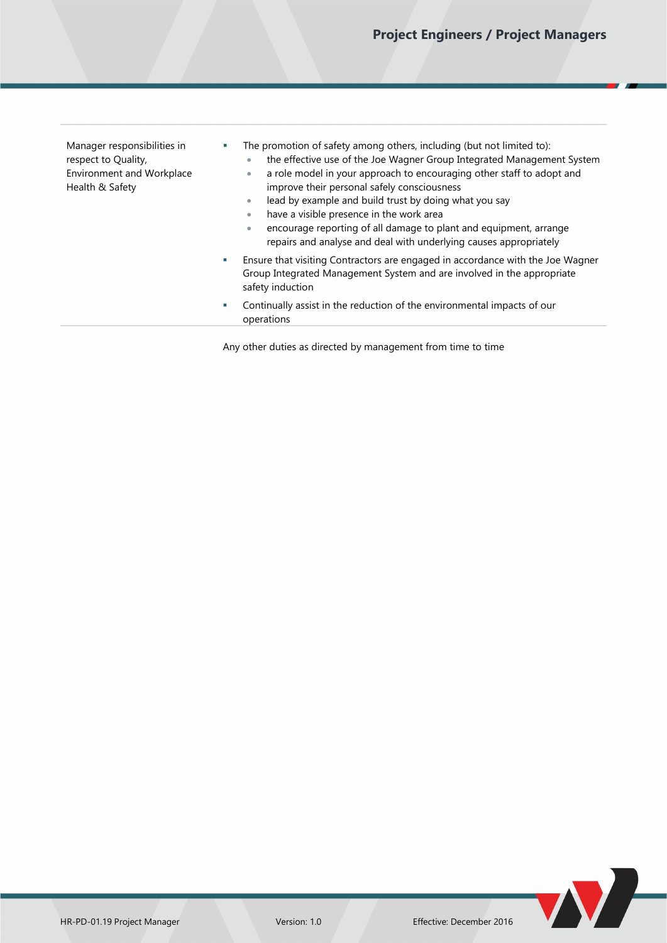Manager responsibilities in respect to Quality, Environment and Workplace Health & Safety

- The promotion of safety among others, including (but not limited to):
	- the effective use of the Joe Wagner Group Integrated Management System a role model in your approach to encouraging other staff to adopt and
	- improve their personal safely consciousness lead by example and build trust by doing what you say
	- have a visible presence in the work area
	- encourage reporting of all damage to plant and equipment, arrange repairs and analyse and deal with underlying causes appropriately
- Ensure that visiting Contractors are engaged in accordance with the Joe Wagner Group Integrated Management System and are involved in the appropriate safety induction
- Continually assist in the reduction of the environmental impacts of our operations

Any other duties as directed by management from time to time

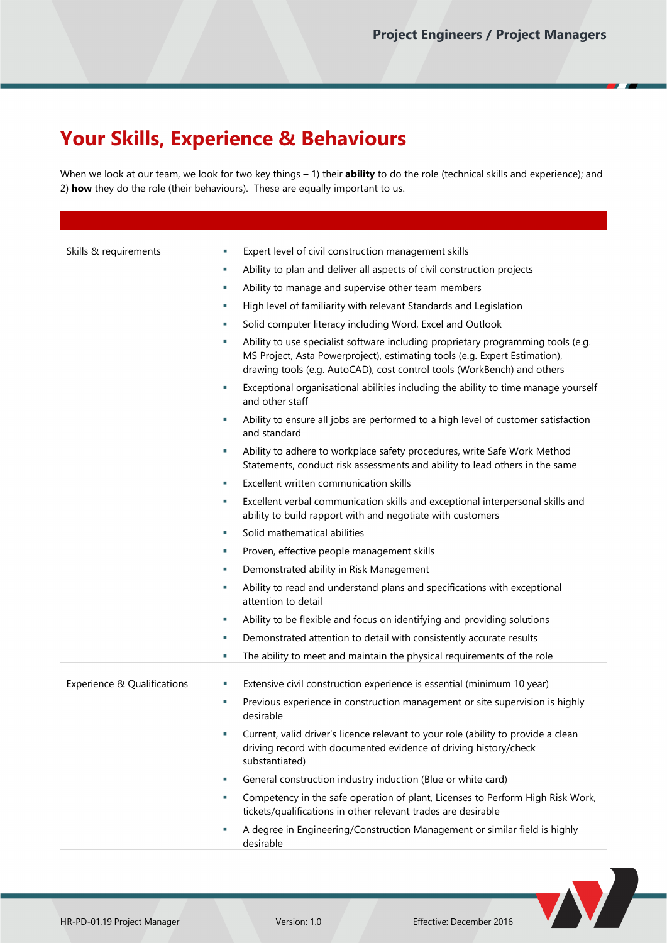## **Your Skills, Experience & Behaviours**

When we look at our team, we look for two key things – 1) their **ability** to do the role (technical skills and experience); and 2) **how** they do the role (their behaviours). These are equally important to us.

| Skills & requirements       | T, | Expert level of civil construction management skills                                                                                                                                                                                      |
|-----------------------------|----|-------------------------------------------------------------------------------------------------------------------------------------------------------------------------------------------------------------------------------------------|
|                             | ×  | Ability to plan and deliver all aspects of civil construction projects                                                                                                                                                                    |
|                             | ×  | Ability to manage and supervise other team members                                                                                                                                                                                        |
|                             | T, | High level of familiarity with relevant Standards and Legislation                                                                                                                                                                         |
|                             | ×  | Solid computer literacy including Word, Excel and Outlook                                                                                                                                                                                 |
|                             | ×. | Ability to use specialist software including proprietary programming tools (e.g.<br>MS Project, Asta Powerproject), estimating tools (e.g. Expert Estimation),<br>drawing tools (e.g. AutoCAD), cost control tools (WorkBench) and others |
|                             | ٠  | Exceptional organisational abilities including the ability to time manage yourself<br>and other staff                                                                                                                                     |
|                             | ×, | Ability to ensure all jobs are performed to a high level of customer satisfaction<br>and standard                                                                                                                                         |
|                             | ×. | Ability to adhere to workplace safety procedures, write Safe Work Method<br>Statements, conduct risk assessments and ability to lead others in the same                                                                                   |
|                             | п  | Excellent written communication skills                                                                                                                                                                                                    |
|                             | ×  | Excellent verbal communication skills and exceptional interpersonal skills and<br>ability to build rapport with and negotiate with customers                                                                                              |
|                             | ×  | Solid mathematical abilities                                                                                                                                                                                                              |
|                             | ×. | Proven, effective people management skills                                                                                                                                                                                                |
|                             | ×. | Demonstrated ability in Risk Management                                                                                                                                                                                                   |
|                             | ×, | Ability to read and understand plans and specifications with exceptional<br>attention to detail                                                                                                                                           |
|                             | ×. | Ability to be flexible and focus on identifying and providing solutions                                                                                                                                                                   |
|                             | ×. | Demonstrated attention to detail with consistently accurate results                                                                                                                                                                       |
|                             | ×  | The ability to meet and maintain the physical requirements of the role                                                                                                                                                                    |
|                             | ×, | Extensive civil construction experience is essential (minimum 10 year)                                                                                                                                                                    |
| Experience & Qualifications | T, | Previous experience in construction management or site supervision is highly                                                                                                                                                              |
|                             |    | desirable                                                                                                                                                                                                                                 |
|                             |    | Current, valid driver's licence relevant to your role (ability to provide a clean<br>driving record with documented evidence of driving history/check<br>substantiated)                                                                   |
|                             | ×  | General construction industry induction (Blue or white card)                                                                                                                                                                              |
|                             | ×  | Competency in the safe operation of plant, Licenses to Perform High Risk Work,<br>tickets/qualifications in other relevant trades are desirable                                                                                           |
|                             | T. | A degree in Engineering/Construction Management or similar field is highly<br>desirable                                                                                                                                                   |

N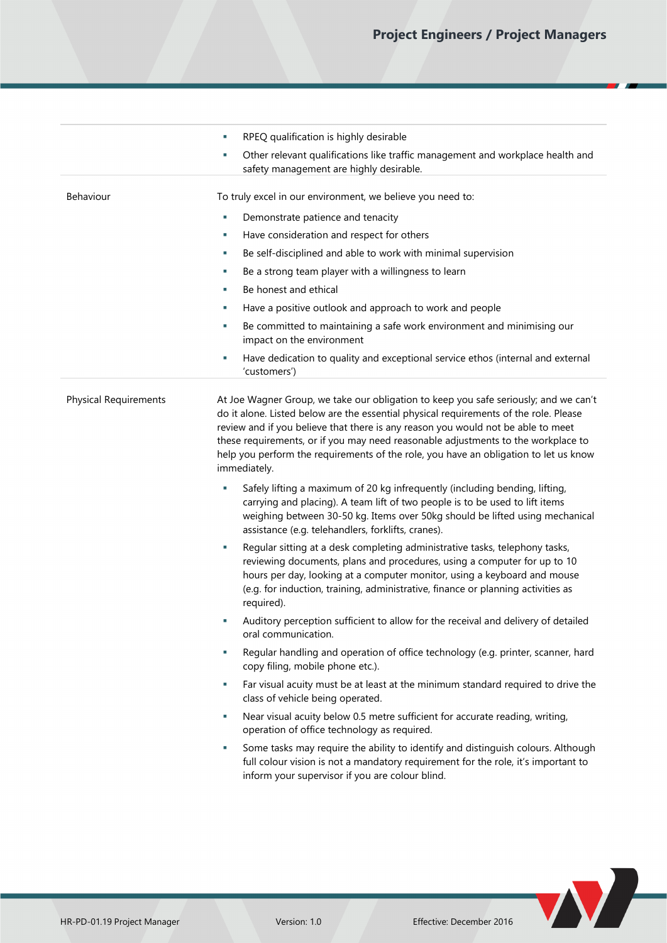|                              | RPEQ qualification is highly desirable<br>T,                                                                                                                                                                                                                                                                                                                                                                                                                   |  |
|------------------------------|----------------------------------------------------------------------------------------------------------------------------------------------------------------------------------------------------------------------------------------------------------------------------------------------------------------------------------------------------------------------------------------------------------------------------------------------------------------|--|
|                              | Other relevant qualifications like traffic management and workplace health and<br>T,<br>safety management are highly desirable.                                                                                                                                                                                                                                                                                                                                |  |
| Behaviour                    | To truly excel in our environment, we believe you need to:                                                                                                                                                                                                                                                                                                                                                                                                     |  |
|                              | Demonstrate patience and tenacity<br>T,                                                                                                                                                                                                                                                                                                                                                                                                                        |  |
|                              | Have consideration and respect for others<br>T,                                                                                                                                                                                                                                                                                                                                                                                                                |  |
|                              | Be self-disciplined and able to work with minimal supervision<br>٠                                                                                                                                                                                                                                                                                                                                                                                             |  |
|                              | Be a strong team player with a willingness to learn<br>٠                                                                                                                                                                                                                                                                                                                                                                                                       |  |
|                              | Be honest and ethical<br>×                                                                                                                                                                                                                                                                                                                                                                                                                                     |  |
|                              | Have a positive outlook and approach to work and people<br>×                                                                                                                                                                                                                                                                                                                                                                                                   |  |
|                              | Be committed to maintaining a safe work environment and minimising our<br>n,<br>impact on the environment                                                                                                                                                                                                                                                                                                                                                      |  |
|                              | Have dedication to quality and exceptional service ethos (internal and external<br>T,<br>'customers')                                                                                                                                                                                                                                                                                                                                                          |  |
| <b>Physical Requirements</b> | At Joe Wagner Group, we take our obligation to keep you safe seriously; and we can't<br>do it alone. Listed below are the essential physical requirements of the role. Please<br>review and if you believe that there is any reason you would not be able to meet<br>these requirements, or if you may need reasonable adjustments to the workplace to<br>help you perform the requirements of the role, you have an obligation to let us know<br>immediately. |  |
|                              | Safely lifting a maximum of 20 kg infrequently (including bending, lifting,<br>T,<br>carrying and placing). A team lift of two people is to be used to lift items<br>weighing between 30-50 kg. Items over 50kg should be lifted using mechanical<br>assistance (e.g. telehandlers, forklifts, cranes).                                                                                                                                                        |  |
|                              | Regular sitting at a desk completing administrative tasks, telephony tasks,<br>T,<br>reviewing documents, plans and procedures, using a computer for up to 10<br>hours per day, looking at a computer monitor, using a keyboard and mouse<br>(e.g. for induction, training, administrative, finance or planning activities as<br>required).                                                                                                                    |  |
|                              | Auditory perception sufficient to allow for the receival and delivery of detailed<br>T,<br>oral communication.                                                                                                                                                                                                                                                                                                                                                 |  |
|                              | Regular handling and operation of office technology (e.g. printer, scanner, hard<br>×,<br>copy filing, mobile phone etc.).                                                                                                                                                                                                                                                                                                                                     |  |
|                              | Far visual acuity must be at least at the minimum standard required to drive the<br>×,<br>class of vehicle being operated.                                                                                                                                                                                                                                                                                                                                     |  |
|                              | Near visual acuity below 0.5 metre sufficient for accurate reading, writing,<br>×.<br>operation of office technology as required.                                                                                                                                                                                                                                                                                                                              |  |
|                              | Some tasks may require the ability to identify and distinguish colours. Although<br>T,<br>full colour vision is not a mandatory requirement for the role, it's important to<br>inform your supervisor if you are colour blind.                                                                                                                                                                                                                                 |  |
|                              |                                                                                                                                                                                                                                                                                                                                                                                                                                                                |  |

W